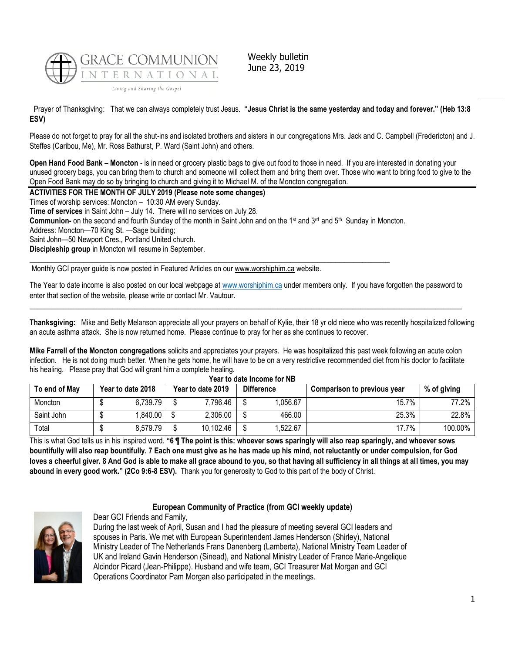

Weekly bulletin June 23, 2019

Prayer of Thanksgiving: That we can always completely trust Jesus. **"Jesus Christ is the same yesterday and today and forever." (Heb 13:8 ESV)**

Please do not forget to pray for all the shut-ins and isolated brothers and sisters in our congregations Mrs. Jack and C. Campbell (Fredericton) and J. Steffes (Caribou, Me), Mr. Ross Bathurst, P. Ward (Saint John) and others.

**Open Hand Food Bank – Moncton** - is in need or grocery plastic bags to give out food to those in need. If you are interested in donating your unused grocery bags, you can bring them to church and someone will collect them and bring them over. Those who want to bring food to give to the Open Food Bank may do so by bringing to church and giving it to Michael M. of the Moncton congregation.

**ACTIVITIES FOR THE MONTH OF JULY 2019 (Please note some changes)**

Times of worship services: Moncton – 10:30 AM every Sunday.

**Time of services** in Saint John – July 14. There will no services on July 28.

Communion- on the second and fourth Sunday of the month in Saint John and on the 1<sup>st</sup> and 3<sup>rd</sup> and 5<sup>th</sup> Sunday in Moncton.

 $\_$  , and the state of the state of the state of the state of the state of the state of the state of the state of the state of the state of the state of the state of the state of the state of the state of the state of the

Address: Moncton—70 King St. —Sage building;

Saint John—50 Newport Cres., Portland United church.

**Discipleship group** in Moncton will resume in September.

Monthly GCI prayer guide is now posted in Featured Articles on our [www.worshiphim.ca](http://www.worshiphim.ca/) website.

The Year to date income is also posted on our local webpage at [www.worshiphim.ca](http://www.worshiphim.ca/) under members only. If you have forgotten the password to enter that section of the website, please write or contact Mr. Vautour.  $\_$  , and the state of the state of the state of the state of the state of the state of the state of the state of the state of the state of the state of the state of the state of the state of the state of the state of the

**Thanksgiving:**Mike and Betty Melanson appreciate all your prayers on behalf of Kylie, their 18 yr old niece who was recently hospitalized following an acute asthma attack. She is now returned home. Please continue to pray for her as she continues to recover.

**Mike Farrell of the Moncton congregations** solicits and appreciates your prayers. He was hospitalized this past week following an acute colon infection. He is not doing much better. When he gets home, he will have to be on a very restrictive recommended diet from his doctor to facilitate his healing. Please pray that God will grant him a complete healing.

| Year to date Income for NB |  |                   |  |                   |  |                   |                             |             |  |
|----------------------------|--|-------------------|--|-------------------|--|-------------------|-----------------------------|-------------|--|
| To end of May              |  | Year to date 2018 |  | Year to date 2019 |  | <b>Difference</b> | Comparison to previous year | % of giving |  |
| Moncton                    |  | 6,739.79          |  | 7,796.46          |  | .056.67           | 15.7%                       | 77.2%       |  |
| Saint John                 |  | 840.00. ا         |  | 2,306.00          |  | 466.00            | 25.3%                       | 22.8%       |  |
| Total                      |  | 8,579.79          |  | 10,102.46         |  | .522.67           | 17.7%                       | 100.00%     |  |

This is what God tells us in his inspired word. **"6 ¶ The point is this: whoever sows sparingly will also reap sparingly, and whoever sows bountifully will also reap bountifully. 7 Each one must give as he has made up his mind, not reluctantly or under compulsion, for God loves a cheerful giver. 8 And God is able to make all grace abound to you, so that having all sufficiency in all things at all times, you may abound in every good work." (2Co 9:6-8 ESV).** Thank you for generosity to God to this part of the body of Christ.



# **European Community of Practice (from GCI weekly update)**

Dear GCI Friends and Family, During the last week of April, Susan and I had the pleasure of meeting several GCI leaders and spouses in Paris. We met with European Superintendent James Henderson (Shirley), National Ministry Leader of The Netherlands Frans Danenberg (Lamberta), National Ministry Team Leader of UK and Ireland Gavin Henderson (Sinead), and National Ministry Leader of France Marie-Angelique Alcindor Picard (Jean-Philippe). Husband and wife team, GCI Treasurer Mat Morgan and GCI

Operations Coordinator Pam Morgan also participated in the meetings.

1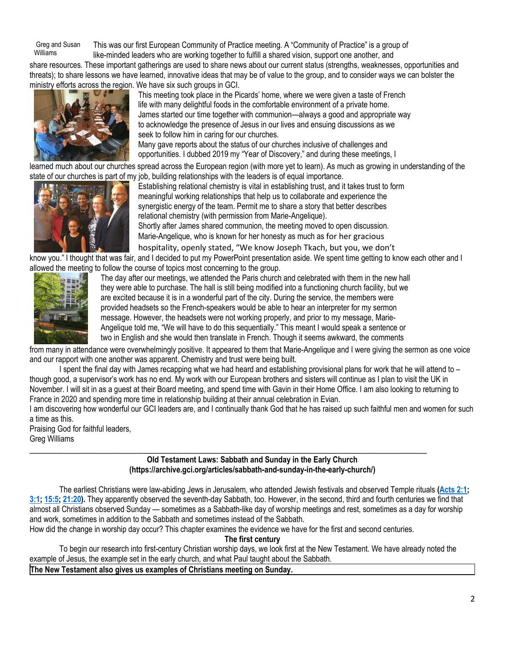Greg and Susan Williams This was our first European Community of Practice meeting. A "Community of Practice" is a group of like-minded leaders who are working together to fulfill a shared vision, support one another, and

share resources. These important gatherings are used to share news about our current status (strengths, weaknesses, opportunities and threats); to share lessons we have learned, innovative ideas that may be of value to the group, and to consider ways we can bolster the ministry efforts across the region. We have six such groups in GCI.



This meeting took place in the Picards' home, where we were given a taste of French life with many delightful foods in the comfortable environment of a private home. James started our time together with communion—always a good and appropriate way to acknowledge the presence of Jesus in our lives and ensuing discussions as we seek to follow him in caring for our churches. Many gave reports about the status of our churches inclusive of challenges and

opportunities. I dubbed 2019 my "Year of Discovery," and during these meetings, I

learned much about our churches spread across the European region (with more yet to learn). As much as growing in understanding of the state of our churches is part of my job, building relationships with the leaders is of equal importance.



Establishing relational chemistry is vital in establishing trust, and it takes trust to form meaningful working relationships that help us to collaborate and experience the synergistic energy of the team. Permit me to share a story that better describes relational chemistry (with permission from Marie-Angelique). Shortly after James shared communion, the meeting moved to open discussion. Marie-Angelique, who is known for her honesty as much as for her gracious hospitality, openly stated, "We know Joseph Tkach, but you, we don't

know you." I thought that was fair, and I decided to put my PowerPoint presentation aside. We spent time getting to know each other and I a[llowed the meetin](https://update.gci.org/wp-content/uploads/2019/06/IMG_2261.jpg)g to follow the course of topics most concerning to the group.



The day after our meetings, we attended the Paris church and celebrated with them in the new hall they were able to purchase. The hall is still being modified into a functioning church facility, but we are excited because it is in a wonderful part of the city. During the service, the members were provided headsets so the French-speakers would be able to hear an interpreter for my sermon message. However, the headsets were not working properly, and prior to my message, Marie-Angelique told me, "We will have to do this sequentially." This meant I would speak a sentence or two in English and she would then translate in French. Though it seems awkward, the comments

from many in attendance were overwhelmingly positive. It appeared to them that Marie-Angelique and I were giving the sermon as one voice and our rapport with one another was apparent. Chemistry and trust were being built.

I spent the final day with James recapping what we had heard and establishing provisional plans for work that he will attend to – though good, a supervisor's work has no end. My work with our European brothers and sisters will continue as I plan to visit the UK in November. I will sit in as a guest at their Board meeting, and spend time with Gavin in their Home Office. I am also looking to returning to France in 2020 and spending more time in relationship building at their annual celebration in Evian.

I am discovering how wonderful our GCI leaders are, and I continually thank God that he has raised up such faithful men and women for such a time as this.

Praising God for faithful leaders, Greg Williams

## \_\_\_\_\_\_\_\_\_\_\_\_\_\_\_\_\_\_\_\_\_\_\_\_\_\_\_\_\_\_\_\_\_\_\_\_\_\_\_\_\_\_\_\_\_\_\_\_\_\_\_\_\_\_\_\_\_\_\_\_\_\_\_\_\_\_\_\_\_\_\_\_\_\_\_\_\_\_\_\_\_\_\_\_\_\_\_\_ **Old Testament Laws: Sabbath and Sunday in the Early Church (https://archive.gci.org/articles/sabbath-and-sunday-in-the-early-church/)**

The earliest Christians were law-abiding Jews in Jerusalem, who attended Jewish festivals and observed Temple rituals **[\(Acts 2:1;](https://biblia.com/bible/niv/Acts%202.1) [3:1;](https://biblia.com/bible/niv/Acts%203.1) [15:5;](https://biblia.com/bible/niv/Acts%2015.5) [21:20\)](https://biblia.com/bible/niv/Acts%2021.20).** They apparently observed the seventh-day Sabbath, too. However, in the second, third and fourth centuries we find that almost all Christians observed Sunday — sometimes as a Sabbath-like day of worship meetings and rest, sometimes as a day for worship and work, sometimes in addition to the Sabbath and sometimes instead of the Sabbath.

How did the change in worship day occur? This chapter examines the evidence we have for the first and second centuries.

**The first century**

To begin our research into first-century Christian worship days, we look first at the New Testament. We have already noted the example of Jesus, the example set in the early church, and what Paul taught about the Sabbath.

**The New Testament also gives us examples of Christians meeting on Sunday.**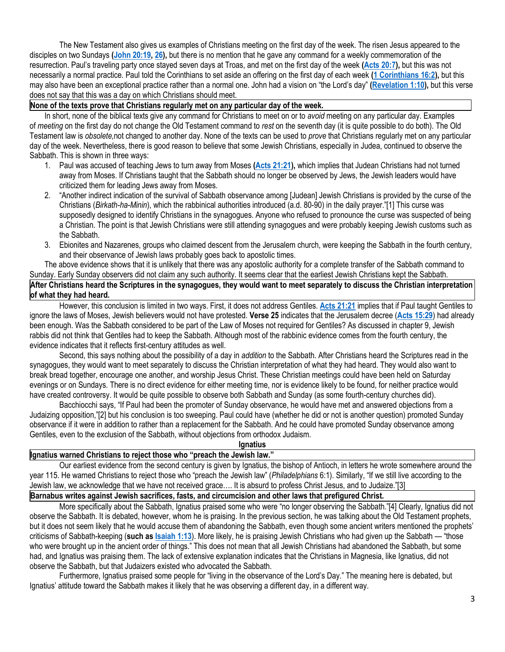The New Testament also gives us examples of Christians meeting on the first day of the week. The risen Jesus appeared to the disciples on two Sundays **[\(John 20:19,](https://biblia.com/bible/niv/John%2020.19) [26\)](https://biblia.com/bible/niv/John%2020.26),** but there is no mention that he gave any command for a weekly commemoration of the resurrection. Paul's traveling party once stayed seven days at Troas, and met on the first day of the week **[\(Acts 20:7\)](https://biblia.com/bible/niv/Acts%2020.7),** but this was not necessarily a normal practice. Paul told the Corinthians to set aside an offering on the first day of each week **[\(1 Corinthians 16:2\)](https://biblia.com/bible/niv/1%20Cor%2016.2),** but this may also have been an exceptional practice rather than a normal one. John had a vision on "the Lord's day" **[\(Revelation 1:10\)](https://biblia.com/bible/niv/Rev%201.10),** but this verse does not say that this was a day on which Christians should meet.

## **None of the texts prove that Christians regularly met on any particular day of the week.**

In short, none of the biblical texts give any command for Christians to meet on or to *avoid* meeting on any particular day. Examples of *meeting* on the first day do not change the Old Testament command to *rest* on the seventh day (it is quite possible to do both). The Old Testament law is *obsolete,*not changed to another day. None of the texts can be used to *prove* that Christians regularly met on any particular day of the week. Nevertheless, there is good reason to believe that some Jewish Christians, especially in Judea, continued to observe the Sabbath. This is shown in three ways:

- 1. Paul was accused of teaching Jews to turn away from Moses **[\(Acts 21:21\)](https://biblia.com/bible/niv/Acts%2021.21),** which implies that Judean Christians had not turned away from Moses. If Christians taught that the Sabbath should no longer be observed by Jews, the Jewish leaders would have criticized them for leading Jews away from Moses.
- 2. "Another indirect indication of the survival of Sabbath observance among [Judean] Jewish Christians is provided by the curse of the Christians (*Birkath-ha-Minin*), which the rabbinical authorities introduced (a.d. 80-90) in the daily prayer."[1] This curse was supposedly designed to identify Christians in the synagogues. Anyone who refused to pronounce the curse was suspected of being a Christian. The point is that Jewish Christians were still attending synagogues and were probably keeping Jewish customs such as the Sabbath.
- 3. Ebionites and Nazarenes, groups who claimed descent from the Jerusalem church, were keeping the Sabbath in the fourth century, and their observance of Jewish laws probably goes back to apostolic times.

The above evidence shows that it is unlikely that there was any apostolic authority for a complete transfer of the Sabbath command to Sunday. Early Sunday observers did not claim any such authority. It seems clear that the earliest Jewish Christians kept the Sabbath.

**After Christians heard the Scriptures in the synagogues, they would want to meet separately to discuss the Christian interpretation of what they had heard.**

However, this conclusion is limited in two ways. First, it does not address Gentiles. **[Acts 21:21](https://biblia.com/bible/niv/Acts%2021.21)** implies that if Paul taught Gentiles to ignore the laws of Moses, Jewish believers would not have protested. **Verse 25** indicates that the Jerusalem decree (**[Acts 15:29](https://biblia.com/bible/niv/Acts%2015.29)**) had already been enough. Was the Sabbath considered to be part of the Law of Moses not required for Gentiles? As discussed in chapter 9, Jewish rabbis did not think that Gentiles had to keep the Sabbath. Although most of the rabbinic evidence comes from the fourth century, the evidence indicates that it reflects first-century attitudes as well.

Second, this says nothing about the possibility of a day in *addition* to the Sabbath. After Christians heard the Scriptures read in the synagogues, they would want to meet separately to discuss the Christian interpretation of what they had heard. They would also want to break bread together, encourage one another, and worship Jesus Christ. These Christian meetings could have been held on Saturday evenings or on Sundays. There is no direct evidence for either meeting time, nor is evidence likely to be found, for neither practice would have created controversy. It would be quite possible to observe both Sabbath and Sunday (as some fourth-century churches did).

Bacchiocchi says, "If Paul had been the promoter of Sunday observance, he would have met and answered objections from a Judaizing opposition,"[2] but his conclusion is too sweeping. Paul could have (whether he did or not is another question) promoted Sunday observance if it were in addition to rather than a replacement for the Sabbath. And he could have promoted Sunday observance among Gentiles, even to the exclusion of the Sabbath, without objections from orthodox Judaism.

### **Ignatius**

### **Ignatius warned Christians to reject those who "preach the Jewish law."**

Our earliest evidence from the second century is given by Ignatius, the bishop of Antioch, in letters he wrote somewhere around the year 115. He warned Christians to reject those who "preach the Jewish law" (*Philadelphians* 6:1). Similarly, "If we still live according to the Jewish law, we acknowledge that we have not received grace…. It is absurd to profess Christ Jesus, and to Judaize."[3]

## **Barnabus writes against Jewish sacrifices, fasts, and circumcision and other laws that prefigured Christ.**

More specifically about the Sabbath, Ignatius praised some who were "no longer observing the Sabbath."[4] Clearly, Ignatius did not observe the Sabbath. It is debated, however, whom he is praising. In the previous section, he was talking about the Old Testament prophets, but it does not seem likely that he would accuse them of abandoning the Sabbath, even though some ancient writers mentioned the prophets' criticisms of Sabbath-keeping (**such as [Isaiah 1:13](https://biblia.com/bible/niv/Isa%201.13)**). More likely, he is praising Jewish Christians who had given up the Sabbath — "those who were brought up in the ancient order of things." This does not mean that all Jewish Christians had abandoned the Sabbath, but some had, and Ignatius was praising them. The lack of extensive explanation indicates that the Christians in Magnesia, like Ignatius, did not observe the Sabbath, but that Judaizers existed who advocated the Sabbath.

Furthermore, Ignatius praised some people for "living in the observance of the Lord's Day." The meaning here is debated, but Ignatius' attitude toward the Sabbath makes it likely that he was observing a different day, in a different way.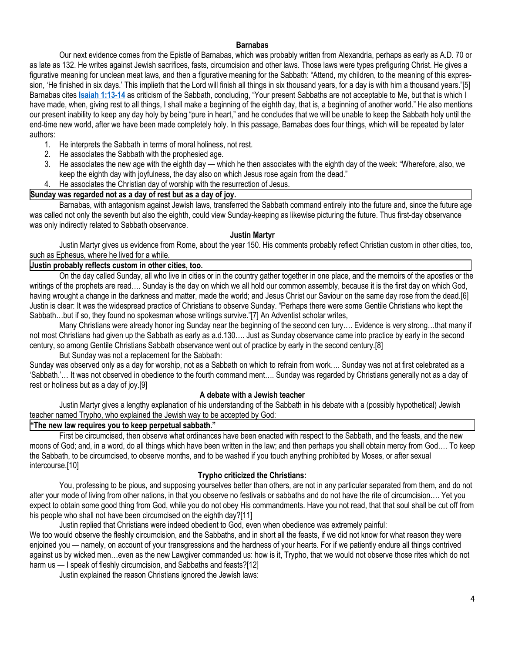### **Barnabas**

Our next evidence comes from the Epistle of Barnabas, which was probably written from Alexandria, perhaps as early as A.D. 70 or as late as 132. He writes against Jewish sacrifices, fasts, circumcision and other laws. Those laws were types prefiguring Christ. He gives a figurative meaning for unclean meat laws, and then a figurative meaning for the Sabbath: "Attend, my children, to the meaning of this expression, 'He finished in six days.' This implieth that the Lord will finish all things in six thousand years, for a day is with him a thousand years."[5] Barnabas cites **[Isaiah 1:13-14](https://biblia.com/bible/niv/Isa%201.13-14)** as criticism of the Sabbath, concluding, "Your present Sabbaths are not acceptable to Me, but that is which I have made, when, giving rest to all things, I shall make a beginning of the eighth day, that is, a beginning of another world." He also mentions our present inability to keep any day holy by being "pure in heart," and he concludes that we will be unable to keep the Sabbath holy until the end-time new world, after we have been made completely holy. In this passage, Barnabas does four things, which will be repeated by later authors:

- 1. He interprets the Sabbath in terms of moral holiness, not rest.
- 2. He associates the Sabbath with the prophesied age.
- 3. He associates the new age with the eighth day which he then associates with the eighth day of the week: "Wherefore, also, we keep the eighth day with joyfulness, the day also on which Jesus rose again from the dead."
- 4. He associates the Christian day of worship with the resurrection of Jesus.

## **Sunday was regarded not as a day of rest but as a day of joy.**

Barnabas, with antagonism against Jewish laws, transferred the Sabbath command entirely into the future and, since the future age was called not only the seventh but also the eighth, could view Sunday-keeping as likewise picturing the future. Thus first-day observance was only indirectly related to Sabbath observance.

### **Justin Martyr**

Justin Martyr gives us evidence from Rome, about the year 150. His comments probably reflect Christian custom in other cities, too, such as Ephesus, where he lived for a while.

### **Justin probably reflects custom in other cities, too.**

On the day called Sunday, all who live in cities or in the country gather together in one place, and the memoirs of the apostles or the writings of the prophets are read…. Sunday is the day on which we all hold our common assembly, because it is the first day on which God, having wrought a change in the darkness and matter, made the world; and Jesus Christ our Saviour on the same day rose from the dead.[6] Justin is clear: It was the widespread practice of Christians to observe Sunday. "Perhaps there were some Gentile Christians who kept the Sabbath…but if so, they found no spokesman whose writings survive."[7] An Adventist scholar writes,

Many Christians were already honor ing Sunday near the beginning of the second cen tury…. Evidence is very strong…that many if not most Christians had given up the Sabbath as early as a.d.130…. Just as Sunday observance came into practice by early in the second century, so among Gentile Christians Sabbath observance went out of practice by early in the second century.[8]

But Sunday was not a replacement for the Sabbath:

Sunday was observed only as a day for worship, not as a Sabbath on which to refrain from work…. Sunday was not at first celebrated as a 'Sabbath.'… It was not observed in obedience to the fourth command ment…. Sunday was regarded by Christians generally not as a day of rest or holiness but as a day of joy.[9]

### **A debate with a Jewish teacher**

Justin Martyr gives a lengthy explanation of his understanding of the Sabbath in his debate with a (possibly hypothetical) Jewish teacher named Trypho, who explained the Jewish way to be accepted by God:

# **"The new law requires you to keep perpetual sabbath."**

First be circumcised, then observe what ordinances have been enacted with respect to the Sabbath, and the feasts, and the new moons of God; and, in a word, do all things which have been written in the law; and then perhaps you shall obtain mercy from God…. To keep the Sabbath, to be circumcised, to observe months, and to be washed if you touch anything prohibited by Moses, or after sexual intercourse.[10]

### **Trypho criticized the Christians:**

You, professing to be pious, and supposing yourselves better than others, are not in any particular separated from them, and do not alter your mode of living from other nations, in that you observe no festivals or sabbaths and do not have the rite of circumcision…. Yet you expect to obtain some good thing from God, while you do not obey His commandments. Have you not read, that that soul shall be cut off from his people who shall not have been circumcised on the eighth day?[11]

Justin replied that Christians were indeed obedient to God, even when obedience was extremely painful:

We too would observe the fleshly circumcision, and the Sabbaths, and in short all the feasts, if we did not know for what reason they were enjoined you — namely, on account of your transgressions and the hardness of your hearts. For if we patiently endure all things contrived against us by wicked men…even as the new Lawgiver commanded us: how is it, Trypho, that we would not observe those rites which do not harm us — I speak of fleshly circumcision, and Sabbaths and feasts?[12]

Justin explained the reason Christians ignored the Jewish laws: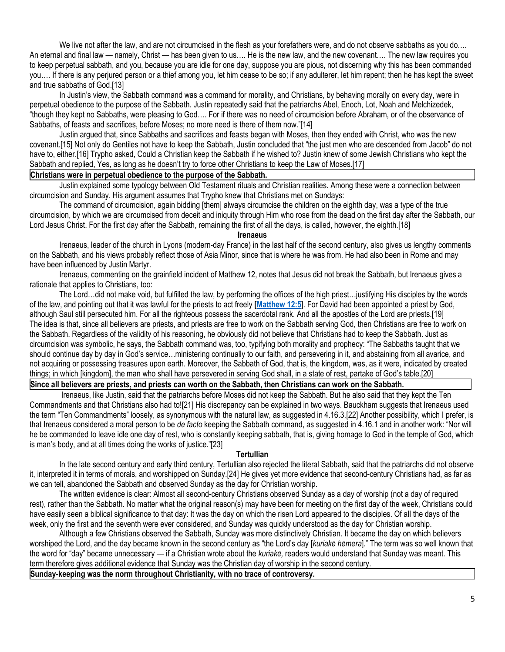We live not after the law, and are not circumcised in the flesh as your forefathers were, and do not observe sabbaths as you do.... An eternal and final law — namely, Christ — has been given to us…. He is the new law, and the new covenant…. The new law requires you to keep perpetual sabbath, and you, because you are idle for one day, suppose you are pious, not discerning why this has been commanded you…. If there is any perjured person or a thief among you, let him cease to be so; if any adulterer, let him repent; then he has kept the sweet and true sabbaths of God.[13]

In Justin's view, the Sabbath command was a command for morality, and Christians, by behaving morally on every day, were in perpetual obedience to the purpose of the Sabbath. Justin repeatedly said that the patriarchs Abel, Enoch, Lot, Noah and Melchizedek, "though they kept no Sabbaths, were pleasing to God…. For if there was no need of circumcision before Abraham, or of the observance of Sabbaths, of feasts and sacrifices, before Moses; no more need is there of them now."[14]

Justin argued that, since Sabbaths and sacrifices and feasts began with Moses, then they ended with Christ, who was the new covenant.[15] Not only do Gentiles not have to keep the Sabbath, Justin concluded that "the just men who are descended from Jacob" do not have to, either.[16] Trypho asked, Could a Christian keep the Sabbath if he wished to? Justin knew of some Jewish Christians who kept the Sabbath and replied, Yes, as long as he doesn't try to force other Christians to keep the Law of Moses.[17]

# **Christians were in perpetual obedience to the purpose of the Sabbath.**

 Justin explained some typology between Old Testament rituals and Christian realities. Among these were a connection between circumcision and Sunday. His argument assumes that Trypho knew that Christians met on Sundays:

The command of circumcision, again bidding [them] always circumcise the children on the eighth day, was a type of the true circumcision, by which we are circumcised from deceit and iniquity through Him who rose from the dead on the first day after the Sabbath, our Lord Jesus Christ. For the first day after the Sabbath, remaining the first of all the days, is called, however, the eighth.[18]

### **Irenaeus**

Irenaeus, leader of the church in Lyons (modern-day France) in the last half of the second century, also gives us lengthy comments on the Sabbath, and his views probably reflect those of Asia Minor, since that is where he was from. He had also been in Rome and may have been influenced by Justin Martyr.

Irenaeus, commenting on the grainfield incident of Matthew 12, notes that Jesus did not break the Sabbath, but Irenaeus gives a rationale that applies to Christians, too:

The Lord…did not make void, but fulfilled the law, by performing the offices of the high priest…justifying His disciples by the words of the law, and pointing out that it was lawful for the priests to act freely **[\[Matthew 12:5](https://biblia.com/bible/niv/Matt%2012.5)**]. For David had been appointed a priest by God, although Saul still persecuted him. For all the righteous possess the sacerdotal rank. And all the apostles of the Lord are priests.[19] The idea is that, since all believers are priests, and priests are free to work on the Sabbath serving God, then Christians are free to work on the Sabbath. Regardless of the validity of his reasoning, he obviously did not believe that Christians had to keep the Sabbath. Just as circumcision was symbolic, he says, the Sabbath command was, too, typifying both morality and prophecy: "The Sabbaths taught that we should continue day by day in God's service…ministering continually to our faith, and persevering in it, and abstaining from all avarice, and not acquiring or possessing treasures upon earth. Moreover, the Sabbath of God, that is, the kingdom, was, as it were, indicated by created things; in which [kingdom], the man who shall have persevered in serving God shall, in a state of rest, partake of God's table.[20]

## **Since all believers are priests, and priests can worth on the Sabbath, then Christians can work on the Sabbath.**

Irenaeus, like Justin, said that the patriarchs before Moses did not keep the Sabbath. But he also said that they kept the Ten Commandments and that Christians also had to![21] His discrepancy can be explained in two ways. Bauckham suggests that Irenaeus used the term "Ten Commandments" loosely, as synonymous with the natural law, as suggested in 4.16.3.[22] Another possibility, which I prefer, is that Irenaeus considered a moral person to be *de facto* keeping the Sabbath command, as suggested in 4.16.1 and in another work: "Nor will he be commanded to leave idle one day of rest, who is constantly keeping sabbath, that is, giving homage to God in the temple of God, which is man's body, and at all times doing the works of justice."[23]

### **Tertullian**

In the late second century and early third century, Tertullian also rejected the literal Sabbath, said that the patriarchs did not observe it, interpreted it in terms of morals, and worshipped on Sunday.[24] He gives yet more evidence that second-century Christians had, as far as we can tell, abandoned the Sabbath and observed Sunday as the day for Christian worship.

The written evidence is clear: Almost all second-century Christians observed Sunday as a day of worship (not a day of required rest), rather than the Sabbath. No matter what the original reason(s) may have been for meeting on the first day of the week, Christians could have easily seen a biblical significance to that day: It was the day on which the risen Lord appeared to the disciples. Of all the days of the week, only the first and the seventh were ever considered, and Sunday was quickly understood as the day for Christian worship.

Although a few Christians observed the Sabbath, Sunday was more distinctively Christian. It became the day on which believers worshiped the Lord, and the day became known in the second century as "the Lord's day [*kuriakē hēmera*]." The term was so well known that the word for "day" became unnecessary — if a Christian wrote about the *kuriakē,* readers would understand that Sunday was meant. This term therefore gives additional evidence that Sunday was the Christian day of worship in the second century.

**Sunday-keeping was the norm throughout Christianity, with no trace of controversy.**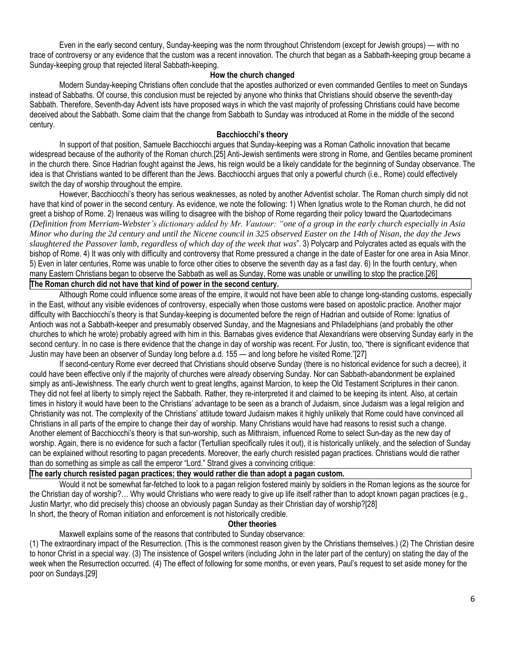Even in the early second century, Sunday-keeping was the norm throughout Christendom (except for Jewish groups) — with no trace of controversy or any evidence that the custom was a recent innovation. The church that began as a Sabbath-keeping group became a Sunday-keeping group that rejected literal Sabbath-keeping.

### **How the church changed**

Modern Sunday-keeping Christians often conclude that the apostles authorized or even commanded Gentiles to meet on Sundays instead of Sabbaths. Of course, this conclusion must be rejected by anyone who thinks that Christians should observe the seventh-day Sabbath. Therefore, Seventh-day Advent ists have proposed ways in which the vast majority of professing Christians could have become deceived about the Sabbath. Some claim that the change from Sabbath to Sunday was introduced at Rome in the middle of the second century.

### **Bacchiocchi's theory**

In support of that position, Samuele Bacchiocchi argues that Sunday-keeping was a Roman Catholic innovation that became widespread because of the authority of the Roman church.[25] Anti-Jewish sentiments were strong in Rome, and Gentiles became prominent in the church there. Since Hadrian fought against the Jews, his reign would be a likely candidate for the beginning of Sunday observance. The idea is that Christians wanted to be different than the Jews. Bacchiocchi argues that only a powerful church (i.e., Rome) could effectively switch the day of worship throughout the empire.

However, Bacchiocchi's theory has serious weaknesses, as noted by another Adventist scholar. The Roman church simply did not have that kind of power in the second century. As evidence, we note the following: 1) When Ignatius wrote to the Roman church, he did not greet a bishop of Rome. 2) Irenaeus was willing to disagree with the bishop of Rome regarding their policy toward the Quartodecimans *(Definition from Merriam-Webster's dictionary added by Mr. Vautour: "one of a group in the early church especially in Asia Minor who during the 2d century and until the Nicene council in 325 observed Easter on the 14th of Nisan, the day the Jews slaughtered the Passover lamb, regardless of which day of the week that was*". 3) Polycarp and Polycrates acted as equals with the bishop of Rome. 4) It was only with difficulty and controversy that Rome pressured a change in the date of Easter for one area in Asia Minor. 5) Even in later centuries, Rome was unable to force other cities to observe the seventh day as a fast day. 6) In the fourth century, when many Eastern Christians began to observe the Sabbath as well as Sunday, Rome was unable or unwilling to stop the practice.[26]

# **The Roman church did not have that kind of power in the second century.**

Although Rome could influence some areas of the empire, it would not have been able to change long-standing customs, especially in the East, without any visible evidences of controversy, especially when those customs were based on apostolic practice. Another major difficulty with Bacchiocchi's theory is that Sunday-keeping is documented before the reign of Hadrian and outside of Rome: Ignatius of Antioch was not a Sabbath-keeper and presumably observed Sunday, and the Magnesians and Philadelphians (and probably the other churches to which he wrote) probably agreed with him in this. Barnabas gives evidence that Alexandrians were observing Sunday early in the second century. In no case is there evidence that the change in day of worship was recent. For Justin, too, "there is significant evidence that Justin may have been an observer of Sunday long before a.d. 155 — and long before he visited Rome."[27]

If second-century Rome ever decreed that Christians should observe Sunday (there is no historical evidence for such a decree), it could have been effective only if the majority of churches were *already* observing Sunday. Nor can Sabbath-abandonment be explained simply as anti-Jewishness. The early church went to great lengths, against Marcion, to keep the Old Testament Scriptures in their canon. They did not feel at liberty to simply reject the Sabbath. Rather, they re-interpreted it and claimed to be keeping its intent. Also, at certain times in history it would have been to the Christians' advantage to be seen as a branch of Judaism, since Judaism was a legal religion and Christianity was not. The complexity of the Christians' attitude toward Judaism makes it highly unlikely that Rome could have convinced all Christians in all parts of the empire to change their day of worship. Many Christians would have had reasons to resist such a change. Another element of Bacchiocchi's theory is that sun-worship, such as Mithraism, influenced Rome to select Sun-day as the new day of worship. Again, there is no evidence for such a factor (Tertullian specifically rules it out), it is historically unlikely, and the selection of Sunday can be explained without resorting to pagan precedents. Moreover, the early church resisted pagan practices. Christians would die rather than do something as simple as call the emperor "Lord." Strand gives a convincing critique:

# **The early church resisted pagan practices; they would rather die than adopt a pagan custom.**

Would it not be somewhat far-fetched to look to a pagan religion fostered mainly by soldiers in the Roman legions as the source for the Christian day of worship?… Why would Christians who were ready to give up life itself rather than to adopt known pagan practices (e.g., Justin Martyr, who did precisely this) choose an obviously pagan Sunday as their Christian day of worship?[28] In short, the theory of Roman initiation and enforcement is not historically credible.

### **Other theories**

Maxwell explains some of the reasons that contributed to Sunday observance:

(1) The extraordinary impact of the Resurrection. (This is the commonest reason given by the Christians themselves.) (2) The Christian desire to honor Christ in a special way. (3) The insistence of Gospel writers (including John in the later part of the century) on stating the day of the week when the Resurrection occurred. (4) The effect of following for some months, or even years, Paul's request to set aside money for the poor on Sundays.[29]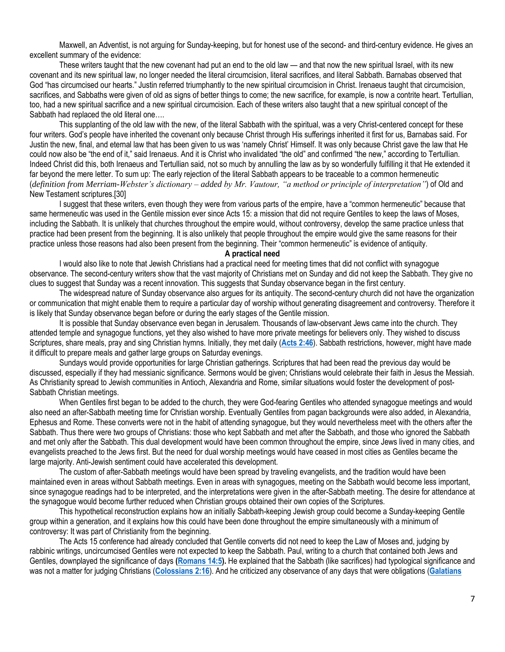Maxwell, an Adventist, is not arguing for Sunday-keeping, but for honest use of the second- and third-century evidence. He gives an excellent summary of the evidence:

These writers taught that the new covenant had put an end to the old law — and that now the new spiritual Israel, with its new covenant and its new spiritual law, no longer needed the literal circumcision, literal sacrifices, and literal Sabbath. Barnabas observed that God "has circumcised our hearts." Justin referred triumphantly to the new spiritual circumcision in Christ. Irenaeus taught that circumcision, sacrifices, and Sabbaths were given of old as signs of better things to come; the new sacrifice, for example, is now a contrite heart. Tertullian, too, had a new spiritual sacrifice and a new spiritual circumcision. Each of these writers also taught that a new spiritual concept of the Sabbath had replaced the old literal one….

This supplanting of the old law with the new, of the literal Sabbath with the spiritual, was a very Christ-centered concept for these four writers. God's people have inherited the covenant only because Christ through His sufferings inherited it first for us, Barnabas said. For Justin the new, final, and eternal law that has been given to us was 'namely Christ' Himself. It was only because Christ gave the law that He could now also be "the end of it," said Irenaeus. And it is Christ who invalidated "the old" and confirmed "the new," according to Tertullian. Indeed Christ did this, both Irenaeus and Tertullian said, not so much by annulling the law as by so wonderfully fulfilling it that He extended it far beyond the mere letter. To sum up: The early rejection of the literal Sabbath appears to be traceable to a common hermeneutic (*definition from Merriam-Webster's dictionary – added by Mr. Vautour, "a method or principle of interpretation"*) of Old and New Testament scriptures.[30]

I suggest that these writers, even though they were from various parts of the empire, have a "common hermeneutic" because that same hermeneutic was used in the Gentile mission ever since Acts 15: a mission that did not require Gentiles to keep the laws of Moses, including the Sabbath. It is unlikely that churches throughout the empire would, without controversy, develop the same practice unless that practice had been present from the beginning. It is also unlikely that people throughout the empire would give the same reasons for their practice unless those reasons had also been present from the beginning. Their "common hermeneutic" is evidence of antiquity.

### **A practical need**

I would also like to note that Jewish Christians had a practical need for meeting times that did not conflict with synagogue observance. The second-century writers show that the vast majority of Christians met on Sunday and did not keep the Sabbath. They give no clues to suggest that Sunday was a recent innovation. This suggests that Sunday observance began in the first century.

The widespread nature of Sunday observance also argues for its antiquity. The second-century church did not have the organization or communication that might enable them to require a particular day of worship without generating disagreement and controversy. Therefore it is likely that Sunday observance began before or during the early stages of the Gentile mission.

It is possible that Sunday observance even began in Jerusalem. Thousands of law-observant Jews came into the church. They attended temple and synagogue functions, yet they also wished to have more private meetings for believers only. They wished to discuss Scriptures, share meals, pray and sing Christian hymns. Initially, they met daily (**[Acts 2:46](https://biblia.com/bible/niv/Acts%202.46)**). Sabbath restrictions, however, might have made it difficult to prepare meals and gather large groups on Saturday evenings.

Sundays would provide opportunities for large Christian gatherings. Scriptures that had been read the previous day would be discussed, especially if they had messianic significance. Sermons would be given; Christians would celebrate their faith in Jesus the Messiah. As Christianity spread to Jewish communities in Antioch, Alexandria and Rome, similar situations would foster the development of post-Sabbath Christian meetings.

When Gentiles first began to be added to the church, they were God-fearing Gentiles who attended synagogue meetings and would also need an after-Sabbath meeting time for Christian worship. Eventually Gentiles from pagan backgrounds were also added, in Alexandria, Ephesus and Rome. These converts were not in the habit of attending synagogue, but they would nevertheless meet with the others after the Sabbath. Thus there were two groups of Christians: those who kept Sabbath and met after the Sabbath, and those who ignored the Sabbath and met only after the Sabbath. This dual development would have been common throughout the empire, since Jews lived in many cities, and evangelists preached to the Jews first. But the need for dual worship meetings would have ceased in most cities as Gentiles became the large majority. Anti-Jewish sentiment could have accelerated this development.

The custom of after-Sabbath meetings would have been spread by traveling evangelists, and the tradition would have been maintained even in areas without Sabbath meetings. Even in areas with synagogues, meeting on the Sabbath would become less important, since synagogue readings had to be interpreted, and the interpretations were given in the after-Sabbath meeting. The desire for attendance at the synagogue would become further reduced when Christian groups obtained their own copies of the Scriptures.

This hypothetical reconstruction explains how an initially Sabbath-keeping Jewish group could become a Sunday-keeping Gentile group within a generation, and it explains how this could have been done throughout the empire simultaneously with a minimum of controversy: It was part of Christianity from the beginning.

The Acts 15 conference had already concluded that Gentile converts did not need to keep the Law of Moses and, judging by rabbinic writings, uncircumcised Gentiles were not expected to keep the Sabbath. Paul, writing to a church that contained both Jews and Gentiles, downplayed the significance of days **[\(Romans 14:5\)](https://biblia.com/bible/niv/Rom%2014.5).** He explained that the Sabbath (like sacrifices) had typological significance and was not a matter for judging Christians (**[Colossians 2:16](https://biblia.com/bible/niv/Col%202.16)**). And he criticized any observance of any days that were obligations (**[Galatians](https://biblia.com/bible/niv/Gal%204.10)**